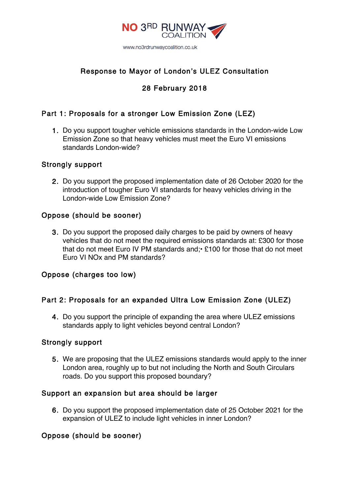

# Response to Mayor of London's ULEZ Consultation

# 28 February 2018

## Part 1: Proposals for a stronger Low Emission Zone (LEZ)

1. Do you support tougher vehicle emissions standards in the London-wide Low Emission Zone so that heavy vehicles must meet the Euro VI emissions standards London-wide?

### Strongly support

2. Do you support the proposed implementation date of 26 October 2020 for the introduction of tougher Euro VI standards for heavy vehicles driving in the London-wide Low Emission Zone?

### Oppose (should be sooner)

3. Do you support the proposed daily charges to be paid by owners of heavy vehicles that do not meet the required emissions standards at: £300 for those that do not meet Euro IV PM standards and;• £100 for those that do not meet Euro VI NOx and PM standards?

### Oppose (charges too low)

### Part 2: Proposals for an expanded Ultra Low Emission Zone (ULEZ)

4. Do you support the principle of expanding the area where ULEZ emissions standards apply to light vehicles beyond central London?

### Strongly support

5. We are proposing that the ULEZ emissions standards would apply to the inner London area, roughly up to but not including the North and South Circulars roads. Do you support this proposed boundary?

### Support an expansion but area should be larger

6. Do you support the proposed implementation date of 25 October 2021 for the expansion of ULEZ to include light vehicles in inner London?

### Oppose (should be sooner)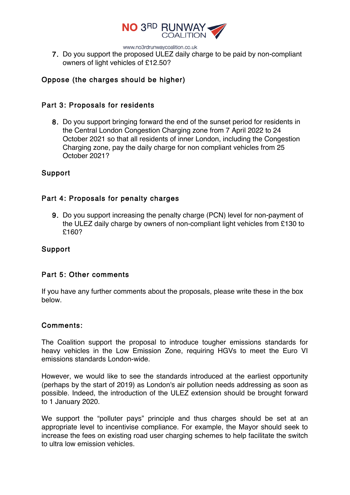

www.no3rdrunwaycoalition.co.uk

7. Do you support the proposed ULEZ daily charge to be paid by non-compliant owners of light vehicles of £12.50?

## Oppose (the charges should be higher)

#### Part 3: Proposals for residents

8. Do you support bringing forward the end of the sunset period for residents in the Central London Congestion Charging zone from 7 April 2022 to 24 October 2021 so that all residents of inner London, including the Congestion Charging zone, pay the daily charge for non compliant vehicles from 25 October 2021?

### Support

### Part 4: Proposals for penalty charges

9. Do you support increasing the penalty charge (PCN) level for non-payment of the ULEZ daily charge by owners of non-compliant light vehicles from £130 to £160?

### Support

### Part 5: Other comments

If you have any further comments about the proposals, please write these in the box below.

#### Comments:

The Coalition support the proposal to introduce tougher emissions standards for heavy vehicles in the Low Emission Zone, requiring HGVs to meet the Euro VI emissions standards London-wide.

However, we would like to see the standards introduced at the earliest opportunity (perhaps by the start of 2019) as London's air pollution needs addressing as soon as possible. Indeed, the introduction of the ULEZ extension should be brought forward to 1 January 2020.

We support the "polluter pays" principle and thus charges should be set at an appropriate level to incentivise compliance. For example, the Mayor should seek to increase the fees on existing road user charging schemes to help facilitate the switch to ultra low emission vehicles.